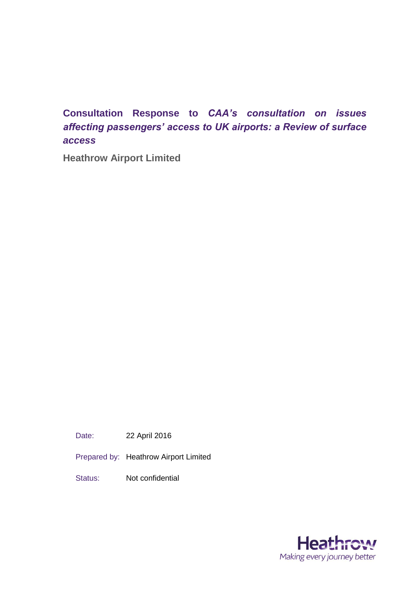# **Consultation Response to** *CAA's consultation on issues affecting passengers' access to UK airports: a Review of surface access*

**Heathrow Airport Limited**

Date: 22 April 2016

Prepared by: Heathrow Airport Limited

Status: Not confidential

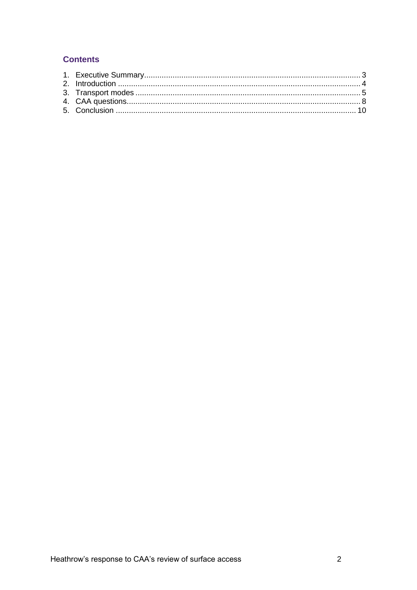## **Contents**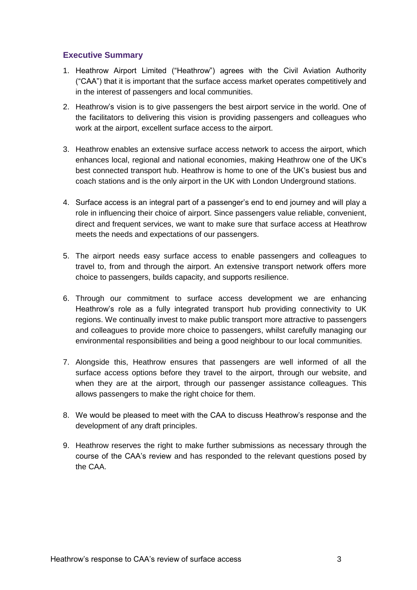## <span id="page-2-0"></span>**Executive Summary**

- 1. Heathrow Airport Limited ("Heathrow") agrees with the Civil Aviation Authority ("CAA") that it is important that the surface access market operates competitively and in the interest of passengers and local communities.
- 2. Heathrow's vision is to give passengers the best airport service in the world. One of the facilitators to delivering this vision is providing passengers and colleagues who work at the airport, excellent surface access to the airport.
- 3. Heathrow enables an extensive surface access network to access the airport, which enhances local, regional and national economies, making Heathrow one of the UK's best connected transport hub. Heathrow is home to one of the UK's busiest bus and coach stations and is the only airport in the UK with London Underground stations.
- 4. Surface access is an integral part of a passenger's end to end journey and will play a role in influencing their choice of airport. Since passengers value reliable, convenient, direct and frequent services, we want to make sure that surface access at Heathrow meets the needs and expectations of our passengers.
- 5. The airport needs easy surface access to enable passengers and colleagues to travel to, from and through the airport. An extensive transport network offers more choice to passengers, builds capacity, and supports resilience.
- 6. Through our commitment to surface access development we are enhancing Heathrow's role as a fully integrated transport hub providing connectivity to UK regions. We continually invest to make public transport more attractive to passengers and colleagues to provide more choice to passengers, whilst carefully managing our environmental responsibilities and being a good neighbour to our local communities.
- 7. Alongside this, Heathrow ensures that passengers are well informed of all the surface access options before they travel to the airport, through our website, and when they are at the airport, through our passenger assistance colleagues. This allows passengers to make the right choice for them.
- 8. We would be pleased to meet with the CAA to discuss Heathrow's response and the development of any draft principles.
- 9. Heathrow reserves the right to make further submissions as necessary through the course of the CAA's review and has responded to the relevant questions posed by the CAA.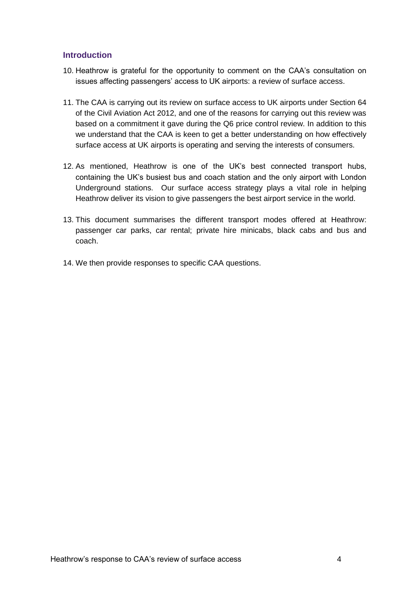### <span id="page-3-0"></span>**Introduction**

- 10. Heathrow is grateful for the opportunity to comment on the CAA's consultation on issues affecting passengers' access to UK airports: a review of surface access.
- 11. The CAA is carrying out its review on surface access to UK airports under Section 64 of the Civil Aviation Act 2012, and one of the reasons for carrying out this review was based on a commitment it gave during the Q6 price control review. In addition to this we understand that the CAA is keen to get a better understanding on how effectively surface access at UK airports is operating and serving the interests of consumers.
- 12. As mentioned, Heathrow is one of the UK's best connected transport hubs, containing the UK's busiest bus and coach station and the only airport with London Underground stations. Our surface access strategy plays a vital role in helping Heathrow deliver its vision to give passengers the best airport service in the world.
- 13. This document summarises the different transport modes offered at Heathrow: passenger car parks, car rental; private hire minicabs, black cabs and bus and coach.
- 14. We then provide responses to specific CAA questions.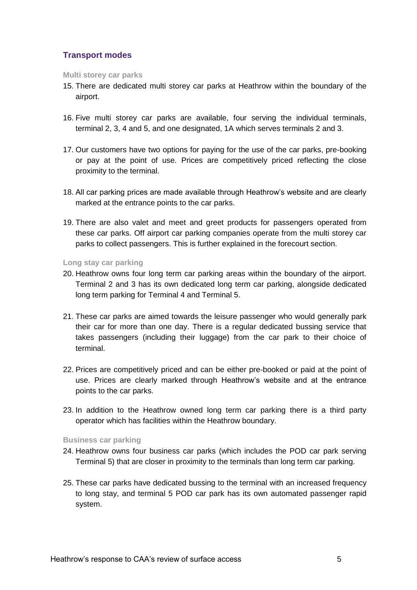## <span id="page-4-0"></span>**Transport modes**

#### **Multi storey car parks**

- 15. There are dedicated multi storey car parks at Heathrow within the boundary of the airport.
- 16. Five multi storey car parks are available, four serving the individual terminals, terminal 2, 3, 4 and 5, and one designated, 1A which serves terminals 2 and 3.
- 17. Our customers have two options for paying for the use of the car parks, pre-booking or pay at the point of use. Prices are competitively priced reflecting the close proximity to the terminal.
- 18. All car parking prices are made available through Heathrow's website and are clearly marked at the entrance points to the car parks.
- 19. There are also valet and meet and greet products for passengers operated from these car parks. Off airport car parking companies operate from the multi storey car parks to collect passengers. This is further explained in the forecourt section.

**Long stay car parking**

- 20. Heathrow owns four long term car parking areas within the boundary of the airport. Terminal 2 and 3 has its own dedicated long term car parking, alongside dedicated long term parking for Terminal 4 and Terminal 5.
- 21. These car parks are aimed towards the leisure passenger who would generally park their car for more than one day. There is a regular dedicated bussing service that takes passengers (including their luggage) from the car park to their choice of terminal.
- 22. Prices are competitively priced and can be either pre-booked or paid at the point of use. Prices are clearly marked through Heathrow's website and at the entrance points to the car parks.
- 23. In addition to the Heathrow owned long term car parking there is a third party operator which has facilities within the Heathrow boundary.

#### **Business car parking**

- 24. Heathrow owns four business car parks (which includes the POD car park serving Terminal 5) that are closer in proximity to the terminals than long term car parking.
- 25. These car parks have dedicated bussing to the terminal with an increased frequency to long stay, and terminal 5 POD car park has its own automated passenger rapid system.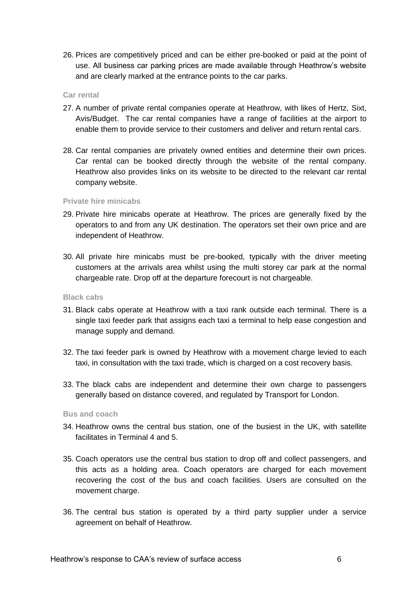26. Prices are competitively priced and can be either pre-booked or paid at the point of use. All business car parking prices are made available through Heathrow's website and are clearly marked at the entrance points to the car parks.

#### **Car rental**

- 27. A number of private rental companies operate at Heathrow, with likes of Hertz, Sixt, Avis/Budget. The car rental companies have a range of facilities at the airport to enable them to provide service to their customers and deliver and return rental cars.
- 28. Car rental companies are privately owned entities and determine their own prices. Car rental can be booked directly through the website of the rental company. Heathrow also provides links on its website to be directed to the relevant car rental company website.

#### **Private hire minicabs**

- 29. Private hire minicabs operate at Heathrow. The prices are generally fixed by the operators to and from any UK destination. The operators set their own price and are independent of Heathrow.
- 30. All private hire minicabs must be pre-booked, typically with the driver meeting customers at the arrivals area whilst using the multi storey car park at the normal chargeable rate. Drop off at the departure forecourt is not chargeable.

#### **Black cabs**

- 31. Black cabs operate at Heathrow with a taxi rank outside each terminal. There is a single taxi feeder park that assigns each taxi a terminal to help ease congestion and manage supply and demand.
- 32. The taxi feeder park is owned by Heathrow with a movement charge levied to each taxi, in consultation with the taxi trade, which is charged on a cost recovery basis.
- 33. The black cabs are independent and determine their own charge to passengers generally based on distance covered, and regulated by Transport for London.

#### **Bus and coach**

- 34. Heathrow owns the central bus station, one of the busiest in the UK, with satellite facilitates in Terminal 4 and 5.
- 35. Coach operators use the central bus station to drop off and collect passengers, and this acts as a holding area. Coach operators are charged for each movement recovering the cost of the bus and coach facilities. Users are consulted on the movement charge.
- 36. The central bus station is operated by a third party supplier under a service agreement on behalf of Heathrow.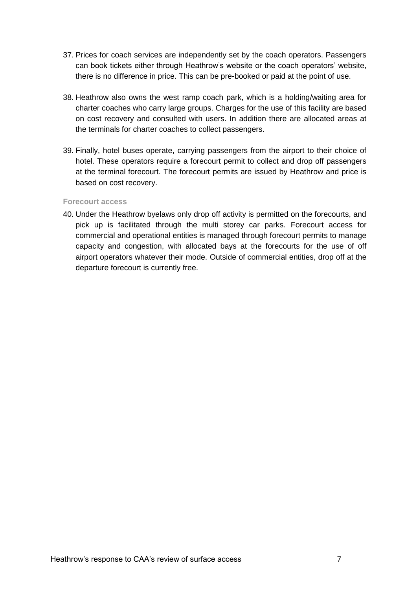- 37. Prices for coach services are independently set by the coach operators. Passengers can book tickets either through Heathrow's website or the coach operators' website, there is no difference in price. This can be pre-booked or paid at the point of use.
- 38. Heathrow also owns the west ramp coach park, which is a holding/waiting area for charter coaches who carry large groups. Charges for the use of this facility are based on cost recovery and consulted with users. In addition there are allocated areas at the terminals for charter coaches to collect passengers.
- 39. Finally, hotel buses operate, carrying passengers from the airport to their choice of hotel. These operators require a forecourt permit to collect and drop off passengers at the terminal forecourt. The forecourt permits are issued by Heathrow and price is based on cost recovery.

#### **Forecourt access**

40. Under the Heathrow byelaws only drop off activity is permitted on the forecourts, and pick up is facilitated through the multi storey car parks. Forecourt access for commercial and operational entities is managed through forecourt permits to manage capacity and congestion, with allocated bays at the forecourts for the use of off airport operators whatever their mode. Outside of commercial entities, drop off at the departure forecourt is currently free.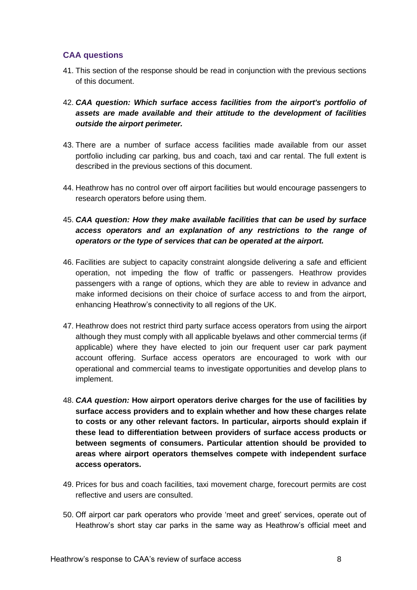## <span id="page-7-0"></span>**CAA questions**

- 41. This section of the response should be read in conjunction with the previous sections of this document.
- 42. *CAA question: Which surface access facilities from the airport's portfolio of assets are made available and their attitude to the development of facilities outside the airport perimeter.*
- 43. There are a number of surface access facilities made available from our asset portfolio including car parking, bus and coach, taxi and car rental. The full extent is described in the previous sections of this document.
- 44. Heathrow has no control over off airport facilities but would encourage passengers to research operators before using them.
- 45. *CAA question: How they make available facilities that can be used by surface access operators and an explanation of any restrictions to the range of operators or the type of services that can be operated at the airport.*
- 46. Facilities are subject to capacity constraint alongside delivering a safe and efficient operation, not impeding the flow of traffic or passengers. Heathrow provides passengers with a range of options, which they are able to review in advance and make informed decisions on their choice of surface access to and from the airport, enhancing Heathrow's connectivity to all regions of the UK.
- 47. Heathrow does not restrict third party surface access operators from using the airport although they must comply with all applicable byelaws and other commercial terms (if applicable) where they have elected to join our frequent user car park payment account offering. Surface access operators are encouraged to work with our operational and commercial teams to investigate opportunities and develop plans to implement.
- 48. *CAA question:* **How airport operators derive charges for the use of facilities by surface access providers and to explain whether and how these charges relate to costs or any other relevant factors. In particular, airports should explain if these lead to differentiation between providers of surface access products or between segments of consumers. Particular attention should be provided to areas where airport operators themselves compete with independent surface access operators.**
- 49. Prices for bus and coach facilities, taxi movement charge, forecourt permits are cost reflective and users are consulted.
- 50. Off airport car park operators who provide 'meet and greet' services, operate out of Heathrow's short stay car parks in the same way as Heathrow's official meet and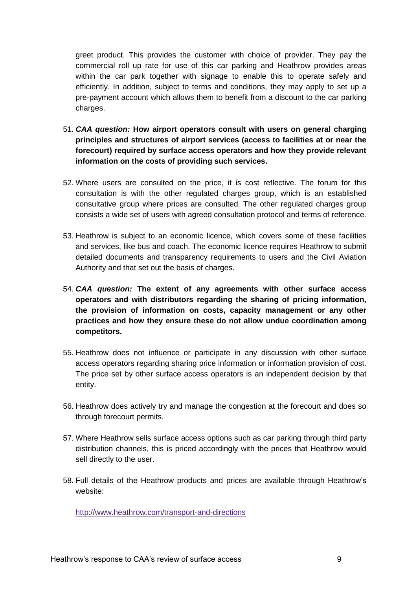greet product. This provides the customer with choice of provider. They pay the commercial roll up rate for use of this car parking and Heathrow provides areas within the car park together with signage to enable this to operate safely and efficiently. In addition, subject to terms and conditions, they may apply to set up a pre-payment account which allows them to benefit from a discount to the car parking charges.

- 51. *CAA question:* **How airport operators consult with users on general charging principles and structures of airport services (access to facilities at or near the forecourt) required by surface access operators and how they provide relevant information on the costs of providing such services.**
- 52. Where users are consulted on the price, it is cost reflective. The forum for this consultation is with the other regulated charges group, which is an established consultative group where prices are consulted. The other regulated charges group consists a wide set of users with agreed consultation protocol and terms of reference.
- 53. Heathrow is subject to an economic licence, which covers some of these facilities and services, like bus and coach. The economic licence requires Heathrow to submit detailed documents and transparency requirements to users and the Civil Aviation Authority and that set out the basis of charges.
- 54. *CAA question:* **The extent of any agreements with other surface access operators and with distributors regarding the sharing of pricing information, the provision of information on costs, capacity management or any other practices and how they ensure these do not allow undue coordination among competitors.**
- 55. Heathrow does not influence or participate in any discussion with other surface access operators regarding sharing price information or information provision of cost. The price set by other surface access operators is an independent decision by that entity.
- 56. Heathrow does actively try and manage the congestion at the forecourt and does so through forecourt permits.
- 57. Where Heathrow sells surface access options such as car parking through third party distribution channels, this is priced accordingly with the prices that Heathrow would sell directly to the user.
- 58. Full details of the Heathrow products and prices are available through Heathrow's website:

<http://www.heathrow.com/transport-and-directions>